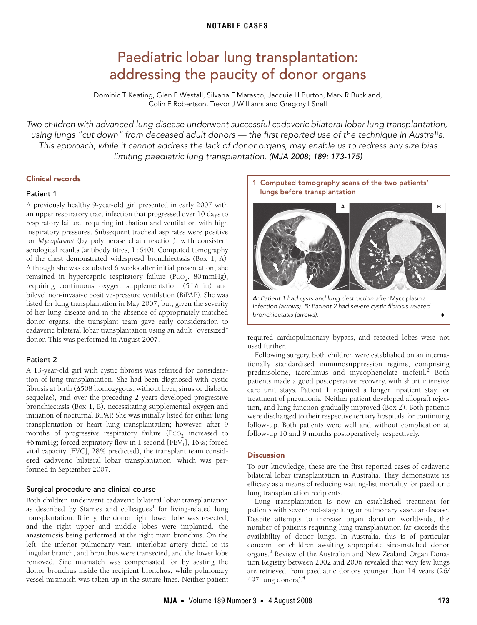# Paediatric lobar lung transplantation: addressing the paucity of donor organs

Dominic T Keating, Glen P Westall, Silvana F Marasco, Jacquie H Burton, Mark R Buckland, Colin F Robertson, Trevor J Williams and Gregory I Snell

<span id="page-0-0"></span>Two children with advanced lung disease underwent successful cadaveric bilateral lobar lung transplantation, using lungs "cut down" from deceased adult donors — the first reported use of the technique in Australia. This approach, while it cannot address the lack of donor organs, may enable us to redress any size bias limiting paediatric lung transplantation. (MJA 2008; 189: [173](#page-0-0)[-175](#page-2-2))

#### Clinical records

#### Patient 1

respiratory failure, requiring intubation and ventilation with high inspiratory pressures. Subsequ[ent t](#page-0-0)[rach](#page-2-2)eal aspirates were positive for *Mycoplasma* (by polymerase chain reaction), with consistent serological results (antibody titres, 1:640). Computed tomography of the chest demonstrated widespread bronchiectasis [\(Box 1](#page-0-1), A). A previously healthy 9-year-old girl presented in early 2007 with an upper respiratory tract infection that progressed over 10 days to Although she was extubated 6 weeks after initial presentation, she remained in hypercapnic respiratory failure (PCO<sub>2</sub>, 80 mmHg), requiring continuous oxygen supplementation (5 L/min) and bilevel non-invasive positive-pressure ventilation (BiPAP). She was listed for lung transplantation in May 2007, but, given the severity of her lung disease and in the absence of appropriately matched donor organs, the transplant team gave early consideration to cadaveric bilateral lobar transplantation using an adult "oversized" donor. This was performed in August 2007.

### Patient 2

A 13-year-old girl with cystic fibrosis was referred for consideration of lung transplantation. She had been diagnosed with cystic fibrosis at birth (Δ508 homozygous, without liver, sinus or diabetic sequelae), and over the preceding 2 years developed progressive bronchiectasis [\(Box 1](#page-0-1), B), necessitating supplemental oxygen and initiation of nocturnal BiPAP. She was initially listed for either lung transplantation or heart–lung transplantation; however, after 9 months of progressive respiratory failure  $(PCO<sub>2</sub>)$  increased to 46 mmHg; forced expiratory flow in 1 second  $[FEV<sub>1</sub>]$ , 16%; forced vital capacity [FVC], 28% predicted), the transplant team considered cadaveric bilateral lobar transplantation, which was performed in September 2007.

#### Surgical procedure and clinical course

Both children underwent cadaveric bilateral lobar transplantation as described by Starnes and colleagues<sup>[1](#page-1-0)</sup> for living-related lung transplantation. Briefly, the donor right lower lobe was resected, and the right upper and middle lobes were implanted, the anastomosis being performed at the right main bronchus. On the left, the inferior pulmonary vein, interlobar artery distal to its lingular branch, and bronchus were transected, and the lower lobe removed. Size mismatch was compensated for by seating the donor bronchus inside the recipient bronchus, while pulmonary vessel mismatch was taken up in the suture lines. Neither patient

<span id="page-0-1"></span>



required cardiopulmonary bypass, and resected lobes were not used further.

Following surgery, both children were established on an internationally standardised immunosuppression regime, comprising prednisolone, tacrolimus and mycophenolate mofetil.<sup>[2](#page-1-1)</sup> Both patients made a good postoperative recovery, with short intensive care unit stays. Patient 1 required a longer inpatient stay for treatment of pneumonia. Neither patient developed allograft rejection, and lung function gradually improved [\(Box 2\)](#page-1-2). Both patients were discharged to their respective tertiary hospitals for continuing follow-up. Both patients were well and without complication at follow-up 10 and 9 months postoperatively, respectively.

#### **Discussion**

To our knowledge, these are the first reported cases of cadaveric bilateral lobar transplantation in Australia. They demonstrate its efficacy as a means of reducing waiting-list mortality for paediatric lung transplantation recipients.

Lung transplantation is now an established treatment for patients with severe end-stage lung or pulmonary vascular disease. Despite attempts to increase organ donation worldwide, the number of patients requiring lung transplantation far exceeds the availability of donor lungs. In Australia, this is of particular concern for children awaiting appropriate size-matched donor organs.<sup>[3](#page-2-0)</sup> Review of the Australian and New Zealand Organ Donation Registry between 2002 and 2006 revealed that very few lungs are retrieved from paediatric donors younger than 14 years (26/ 497 lung donors).[4](#page-2-1)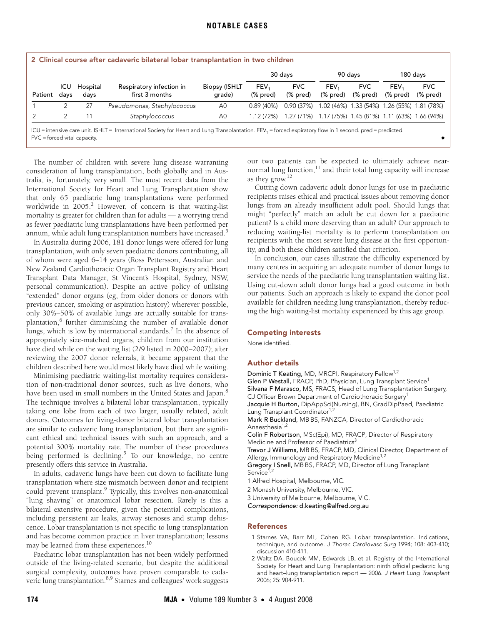<span id="page-1-2"></span>

| 2 Clinical course after cadaveric bilateral lobar transplantation in two children                                                                                     |             |                  |                                            |                                |                               |                         |                                                        |                        |                                             |                        |
|-----------------------------------------------------------------------------------------------------------------------------------------------------------------------|-------------|------------------|--------------------------------------------|--------------------------------|-------------------------------|-------------------------|--------------------------------------------------------|------------------------|---------------------------------------------|------------------------|
|                                                                                                                                                                       |             |                  |                                            |                                | 30 days                       |                         | 90 davs                                                |                        | 180 days                                    |                        |
| Patient                                                                                                                                                               | ICU<br>days | Hospital<br>days | Respiratory infection in<br>first 3 months | <b>Biopsy (ISHLT</b><br>qrade) | FEV <sub>1</sub><br>$%$ pred) | <b>FVC</b><br>$%$ pred) | FEV <sub>1</sub><br>(% pred)                           | <b>FVC</b><br>(% pred) | FEV <sub>1</sub><br>(% pred)                | <b>FVC</b><br>(% pred) |
|                                                                                                                                                                       |             | 27               | Pseudomonas, Staphylococcus                | A0                             | 0.89(40%)                     | 0.90 (37%)              |                                                        |                        | 1.02 (46%) 1.33 (54%) 1.26 (55%) 1.81 (78%) |                        |
|                                                                                                                                                                       |             |                  | Staphylococcus                             | A <sub>0</sub>                 | 1.12(72%)                     |                         | 1.27 (71%) 1.17 (75%) 1.45 (81%) 1.11 (63%) 1.66 (94%) |                        |                                             |                        |
| ICU = intensive care unit. ISHLT = International Society for Heart and Lung Transplantation. FEV <sub>1</sub> = forced expiratory flow in 1 second. pred = predicted. |             |                  |                                            |                                |                               |                         |                                                        |                        |                                             |                        |

ICU = intensive care unit. ISHLT = International Society for Heart and Lung Transplantation. FEV1 = forced expiratory flow in 1 second. pred = predicted.  $FVC = forced$  vital capacity

The number of children with severe lung disease warranting consideration of lung transplantation, both globally and in Australia, is, fortunately, very small. The most recent data from the International Society for Heart and Lung Transplantation show that only 65 paediatric lung transplantations were performed worldwide in [2](#page-1-1)005.<sup>2</sup> However, of concern is that waiting-list mortality is greater for children than for adults — a worrying trend as fewer paediatric lung transplantations have been performed per annum, while adult lung transplantation numbers have increased.<sup>[5](#page-2-3)</sup>

In Australia during 2006, 181 donor lungs were offered for lung transplantation, with only seven paediatric donors contributing, all of whom were aged 6–14 years (Ross Pettersson, Australian and New Zealand Cardiothoracic Organ Transplant Registry and Heart Transplant Data Manager, St Vincent's Hospital, Sydney, NSW, personal communication). Despite an active policy of utilising "extended" donor organs (eg, from older donors or donors with previous cancer, smoking or aspiration history) wherever possible, only 30%–50% of available lungs are actually suitable for trans-plantation,<sup>[6](#page-2-4)</sup> further diminishing the number of available donor lungs, which is low by international standards.<sup>[7](#page-2-5)</sup> In the absence of appropriately size-matched organs, children from our institution have died while on the waiting list (2/9 listed in 2000–2007); after reviewing the 2007 donor referrals, it became apparent that the children described here would most likely have died while waiting.

Minimising paediatric waiting-list mortality requires consideration of non-traditional donor sources, such as live donors, who have been used in small numbers in the United States and Japan.<sup>[8](#page-2-6)</sup> The technique involves a bilateral lobar transplantation, typically taking one lobe from each of two larger, usually related, adult donors. Outcomes for living-donor bilateral lobar transplantation are similar to cadaveric lung transplantation, but there are significant ethical and technical issues with such an approach, and a potential 300% mortality rate. The number of these procedures being performed is declining.<sup>5</sup> To our knowledge, no centre presently offers this service in Australia.

In adults, cadaveric lungs have been cut down to facilitate lung transplantation where size mismatch between donor and recipient could prevent transplant.<sup>9</sup> Typically, this involves non-anatomical "lung shaving" or anatomical lobar resection. Rarely is this a bilateral extensive procedure, given the potential complications, including persistent air leaks, airway stenoses and stump dehiscence. Lobar transplantation is not specific to lung transplantation and has become common practice in liver transplantation; lessons may be learned from these experiences.[10](#page-2-8)

Paediatric lobar transplantation has not been widely performed outside of the living-related scenario, but despite the additional surgical complexity, outcomes have proven comparable to cadaveric lung transplantation[.8,](#page-2-6)[9](#page-2-7) Starnes and colleagues' work suggests

our two patients can be expected to ultimately achieve nearnormal lung function, $^{11}$  $^{11}$  $^{11}$  and their total lung capacity will increase as they grow[.12](#page-2-2)

Cutting down cadaveric adult donor lungs for use in paediatric recipients raises ethical and practical issues about removing donor lungs from an already insufficient adult pool. Should lungs that might "perfectly" match an adult be cut down for a paediatric patient? Is a child more deserving than an adult? Our approach to reducing waiting-list mortality is to perform transplantation on recipients with the most severe lung disease at the first opportunity, and both these children satisfied that criterion.

In conclusion, our cases illustrate the difficulty experienced by many centres in acquiring an adequate number of donor lungs to service the needs of the paediatric lung transplantation waiting list. Using cut-down adult donor lungs had a good outcome in both our patients. Such an approach is likely to expand the donor pool available for children needing lung transplantation, thereby reducing the high waiting-list mortality experienced by this age group.

#### Competing interests

None identified.

## Author details

Dominic T Keating, MD, MRCPI, Respiratory Fellow<sup>1,2</sup> Glen P Westall, FRACP, PhD, Physician, Lung Transplant Service<sup>1</sup> Silvana F Marasco, MS, FRACS, Head of Lung Transplantation Surgery, CJ Officer Brown Department of Cardiothoracic Surgery<sup>1</sup> Jacquie H Burton, DipAppSci(Nursing), BN, GradDipPaed, Paediatric Lung Transplant Coordinator<sup>1,2</sup> Mark R Buckland, MB BS, FANZCA, Director of Cardiothoracic Anaesthesia<sup>1,2</sup> Colin F Robertson, MSc(Epi), MD, FRACP, Director of Respiratory Medicine and Professor of Paediatrics<sup>3</sup> Trevor J Williams, MB BS, FRACP, MD, Clinical Director, Department of Allergy, Immunology and Respiratory Medicine<sup>1,2</sup> Gregory I Snell, MB BS, FRACP, MD, Director of Lung Transplant Service<sup>1</sup> 1 Alfred Hospital, Melbourne, VIC. 2 Monash University, Melbourne, VIC. 3 University of Melbourne, Melbourne, VIC.

Correspondence: d.keating@alfred.org.au

## References

- <span id="page-1-0"></span>1 Starnes VA, Barr ML, Cohen RG. Lobar transplantation. Indications, technique, and outcome. J Thorac Cardiovasc Surg 1994; 108: 403-410; discussion 410-411.
- <span id="page-1-1"></span>2 Waltz DA, Boucek MM, Edwards LB, et al. Registry of the International Society for Heart and Lung Transplantation: ninth official pediatric lung and heart–lung transplantation report — 2006. J Heart Lung Transplant 2006; 25: 904-911.